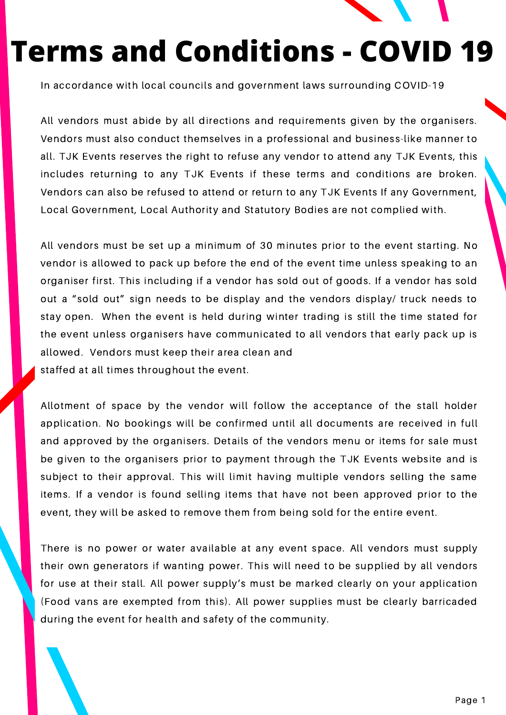

In accordance with local councils and government laws surrounding COVID-19

All vendors must abide by all directions and requirements given by the organisers. Vendors must also conduct themselves in a professional and business-like manner to all. TJK Events reserves the right to refuse any vendor to attend any TJK Events, this includes returning to any TJK Events if these terms and conditions are broken. Vendors can also be refused to attend or return to any TJK Events If any Government, Local Government, Local Authority and Statutory Bodies are not complied with.

All vendors must be set up a minimum of 30 minutes prior to the event starting. No vendor is allowed to pack up before the end of the event time unless speaking to an organiser first. This including if a vendor has sold out of goods. If a vendor has sold out a "sold out" sign needs to be display and the vendors display/ truck needs to stay open. When the event is held during winter trading is still the time stated for the event unless organisers have communicated to all vendors that early pack up is allowed. Vendors must keep their area clean and staffed at all times throughout the event.

Allotment of space by the vendor will follow the acceptance of the stall holder application. No bookings will be confirmed until all documents are received in full and approved by the organisers. Details of the vendors menu or items for sale must be given to the organisers prior to payment through the TJK Events website and is subject to their approval. This will limit having multiple vendors selling the same items. If a vendor is found selling items that have not been approved prior to the event, they will be asked to remove them from being sold for the entire event.

There is no power or water available at any event space. All vendors must supply their own generators if wanting power. This will need to be supplied by all vendors for use at their stall. All power supply's must be marked clearly on your application (Food vans are exempted from this). All power supplies must be clearly barricaded during the event for health and safety of the community.

www.fosterpagan.com